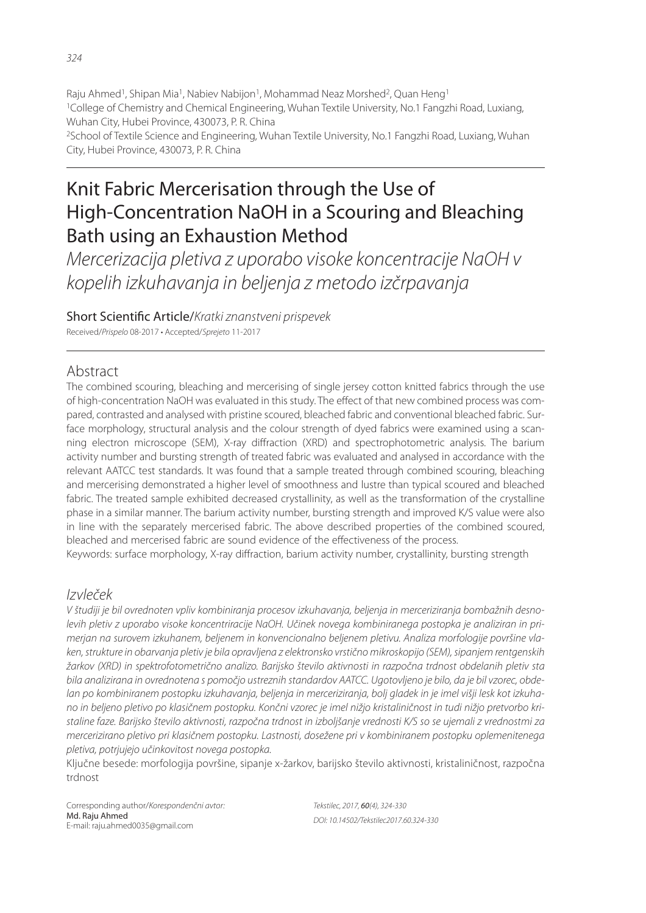Raju Ahmed<sup>1</sup>, Shipan Mia<sup>1</sup>, Nabiev Nabijon<sup>1</sup>, Mohammad Neaz Morshed<sup>2</sup>, Quan Heng<sup>1</sup> <sup>1</sup>College of Chemistry and Chemical Engineering, Wuhan Textile University, No.1 Fangzhi Road, Luxiang, Wuhan City, Hubei Province, 430073, P. R. China <sup>2</sup>School of Textile Science and Engineering, Wuhan Textile University, No.1 Fangzhi Road, Luxiang, Wuhan City, Hubei Province, 430073, P. R. China

# Knit Fabric Mercerisation through the Use of High-Concentration NaOH in a Scouring and Bleaching Bath using an Exhaustion Method

*Mercerizacija pletiva z uporabo visoke koncentracije NaOH v kopelih izkuhavanja in beljenja z metodo izčrpavanja*

Short Scientific Article/*Kratki znanstveni prispevek* 

Received/*Prispelo* 08-2017 • Accepted/*Sprejeto* 11-2017

# Abstract

The combined scouring, bleaching and mercerising of single jersey cotton knitted fabrics through the use of high-concentration NaOH was evaluated in this study. The effect of that new combined process was compared, contrasted and analysed with pristine scoured, bleached fabric and conventional bleached fabric. Surface morphology, structural analysis and the colour strength of dyed fabrics were examined using a scanning electron microscope (SEM), X-ray diffraction (XRD) and spectrophotometric analysis. The barium activity number and bursting strength of treated fabric was evaluated and analysed in accordance with the relevant AATCC test standards. It was found that a sample treated through combined scouring, bleaching and mercerising demonstrated a higher level of smoothness and lustre than typical scoured and bleached fabric. The treated sample exhibited decreased crystallinity, as well as the transformation of the crystalline phase in a similar manner. The barium activity number, bursting strength and improved K/S value were also in line with the separately mercerised fabric. The above described properties of the combined scoured, bleached and mercerised fabric are sound evidence of the effectiveness of the process.

Keywords: surface morphology, X-ray diffraction, barium activity number, crystallinity, bursting strength

# *Izvleček*

*V študiji je bil ovrednoten vpliv kombiniranja procesov izkuhavanja, beljenja in merceriziranja bombažnih desnolevih pletiv z uporabo visoke koncentriracije NaOH. Učinek novega kombiniranega postopka je analiziran in primerjan na surovem izkuhanem, beljenem in konvencionalno beljenem pletivu. Analiza morfologije površine vlaken, strukture in obarvanja pletiv je bila opravljena z elektronsko vrstično mikroskopijo (SEM), sipanjem rentgenskih žarkov (XRD) in spektrofotometrično analizo. Barijsko število aktivnosti in razpočna trdnost obdelanih pletiv sta bila analizirana in ovrednotena s pomočjo ustreznih standardov AATCC. Ugotovljeno je bilo, da je bil vzorec, obdelan po kombiniranem postopku izkuhavanja, beljenja in merceriziranja, bolj gladek in je imel višji lesk kot izkuhano in beljeno pletivo po klasičnem postopku. Končni vzorec je imel nižjo kristaliničnost in tudi nižjo pretvorbo kristaline faze. Barijsko število aktivnosti, razpočna trdnost in izboljšanje vrednosti K/S so se ujemali z vrednostmi za mercerizirano pletivo pri klasičnem postopku. Lastnosti, dosežene pri v kombiniranem postopku oplemenitenega pletiva, potrjujejo učinkovitost novega postopka.*

Ključne besede: morfologija površine, sipanje x-žarkov, barijsko število aktivnosti, kristaliničnost, razpočna trdnost

Corresponding author/*Korespondenčni avtor:* Md. Raju Ahmed E-mail: raju.ahmed0035@gmail.com

*Tekstilec, 2017,* 60*(4), 324-330 DOI: 10.14502/Tekstilec2017.60.324-330*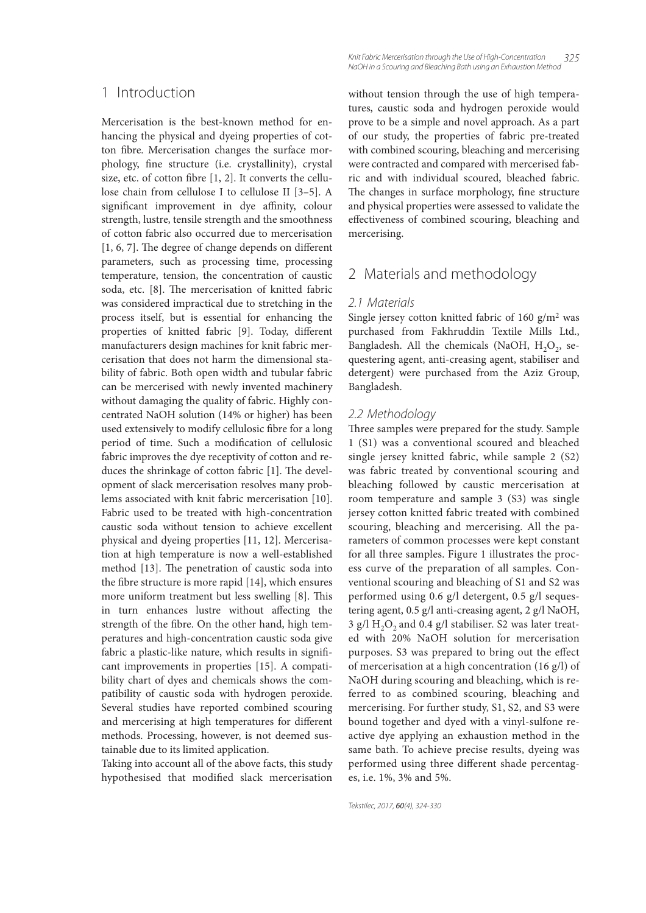### 1 Introduction

Mercerisation is the best-known method for enhancing the physical and dyeing properties of cotton fibre. Mercerisation changes the surface morphology, fine structure (i.e. crystallinity), crystal size, etc. of cotton fibre  $[1, 2]$ . It converts the cellulose chain from cellulose I to cellulose II [3–5]. A significant improvement in dye affinity, colour strength, lustre, tensile strength and the smoothness of cotton fabric also occurred due to mercerisation  $[1, 6, 7]$ . The degree of change depends on different parameters, such as processing time, processing temperature, tension, the concentration of caustic soda, etc. [8]. The mercerisation of knitted fabric was considered impractical due to stretching in the process itself, but is essential for enhancing the properties of knitted fabric [9]. Today, different manufacturers design machines for knit fabric mercerisation that does not harm the dimensional stability of fabric. Both open width and tubular fabric can be mercerised with newly invented machinery without damaging the quality of fabric. Highly concentrated NaOH solution (14% or higher) has been used extensively to modify cellulosic fibre for a long period of time. Such a modification of cellulosic fabric improves the dye receptivity of cotton and reduces the shrinkage of cotton fabric  $[1]$ . The development of slack mercerisation resolves many problems associated with knit fabric mercerisation [10]. Fabric used to be treated with high-concentration caustic soda without tension to achieve excellent physical and dyeing properties [11, 12]. Mercerisation at high temperature is now a well-established method [13]. The penetration of caustic soda into the fibre structure is more rapid  $[14]$ , which ensures more uniform treatment but less swelling [8]. This in turn enhances lustre without affecting the strength of the fibre. On the other hand, high temperatures and high-concentration caustic soda give fabric a plastic-like nature, which results in significant improvements in properties [15]. A compatibility chart of dyes and chemicals shows the compatibility of caustic soda with hydrogen peroxide. Several studies have reported combined scouring and mercerising at high temperatures for different methods. Processing, however, is not deemed sustainable due to its limited application.

Taking into account all of the above facts, this study hypothesised that modified slack mercerisation

*Knit Fabric Mercerisation through the Use of High-Concentration 325 NaOH in a Scouring and Bleaching Bath using an Exhaustion Method*

without tension through the use of high temperatures, caustic soda and hydrogen peroxide would prove to be a simple and novel approach. As a part of our study, the properties of fabric pre-treated with combined scouring, bleaching and mercerising were contracted and compared with mercerised fabric and with individual scoured, bleached fabric. The changes in surface morphology, fine structure and physical properties were assessed to validate the effectiveness of combined scouring, bleaching and mercerising.

### 2 Materials and methodology

### *2.1 Materials*

Single jersey cotton knitted fabric of  $160$  g/m<sup>2</sup> was purchased from Fakhruddin Textile Mills Ltd., Bangladesh. All the chemicals (NaOH,  $H_2O_2$ , sequestering agent, anti-creasing agent, stabiliser and detergent) were purchased from the Aziz Group, Bangladesh.

#### *2.2 Methodology*

Three samples were prepared for the study. Sample 1 (S1) was a conventional scoured and bleached single jersey knitted fabric, while sample 2 (S2) was fabric treated by conventional scouring and bleaching followed by caustic mercerisation at room temperature and sample 3 (S3) was single jersey cotton knitted fabric treated with combined scouring, bleaching and mercerising. All the parameters of common processes were kept constant for all three samples. Figure 1 illustrates the process curve of the preparation of all samples. Conventional scouring and bleaching of S1 and S2 was performed using 0.6 g/l detergent, 0.5 g/l sequestering agent, 0.5 g/l anti-creasing agent, 2 g/l NaOH, 3 g/l  $H_2O_2$  and 0.4 g/l stabiliser. S2 was later treated with 20% NaOH solution for mercerisation purposes. S3 was prepared to bring out the effect of mercerisation at a high concentration (16 g/l) of NaOH during scouring and bleaching, which is referred to as combined scouring, bleaching and mercerising. For further study, S1, S2, and S3 were bound together and dyed with a vinyl-sulfone reactive dye applying an exhaustion method in the same bath. To achieve precise results, dyeing was performed using three different shade percentages, i.e. 1%, 3% and 5%.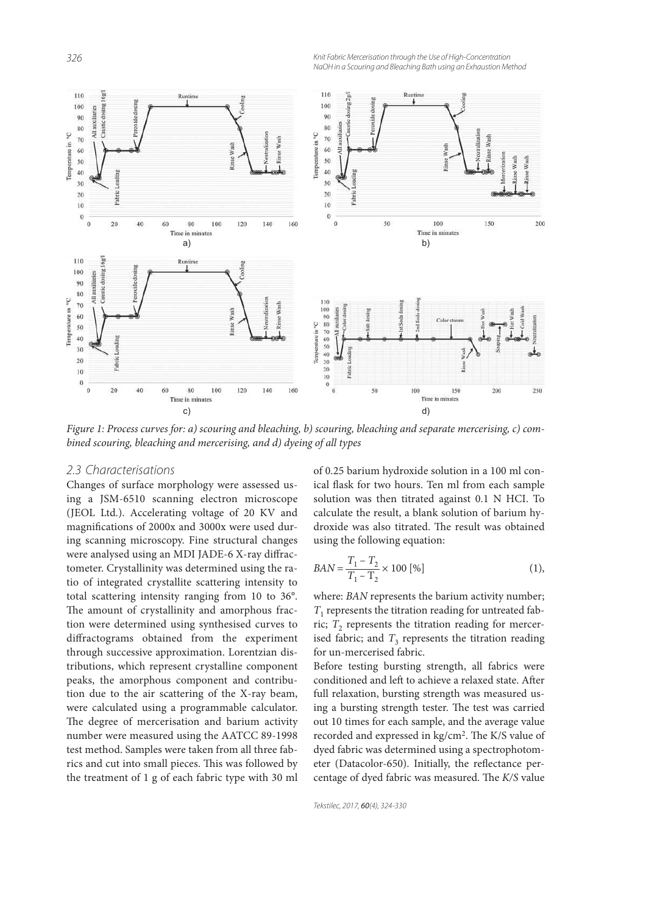*326 Knit Fabric Mercerisation through the Use of High-Concentration NaOH in a Scouring and Bleaching Bath using an Exhaustion Method*



Figure 1: Process curves for: a) scouring and bleaching, b) scouring, bleaching and separate mercerising, c) combined scouring, bleaching and mercerising, and d) dyeing of all types

### *2.3 Characterisations*

Changes of surface morphology were assessed using a JSM-6510 scanning electron microscope (JEOL Ltd.). Accelerating voltage of 20 KV and magnifications of 2000x and 3000x were used during scanning microscopy. Fine structural changes were analysed using an MDI JADE-6 X-ray diffractometer. Crystallinity was determined using the ratio of integrated crystallite scattering intensity to total scattering intensity ranging from 10 to 36°. The amount of crystallinity and amorphous fraction were determined using synthesised curves to diffractograms obtained from the experiment through successive approximation. Lorentzian distributions, which represent crystalline component peaks, the amorphous component and contribution due to the air scattering of the X-ray beam, were calculated using a programmable calculator. The degree of mercerisation and barium activity number were measured using the AATCC 89-1998 test method. Samples were taken from all three fabrics and cut into small pieces. This was followed by the treatment of 1 g of each fabric type with 30 ml of 0.25 barium hydroxide solution in a 100 ml conical flask for two hours. Ten ml from each sample solution was then titrated against 0.1 N HCI. To calculate the result, a blank solution of barium hydroxide was also titrated. The result was obtained using the following equation:

$$
BAN = \frac{T_1 - T_2}{T_1 - T_2} \times 100 \, [\%]
$$
 (1),

where: BAN represents the barium activity number;  $T_{\rm 1}$  represents the titration reading for untreated fabric;  $T_2$  represents the titration reading for mercerised fabric; and  $T_3$  represents the titration reading for un-mercerised fabric.

Before testing bursting strength, all fabrics were conditioned and left to achieve a relaxed state. After full relaxation, bursting strength was measured using a bursting strength tester. The test was carried out 10 times for each sample, and the average value recorded and expressed in kg/cm<sup>2</sup>. The K/S value of dyed fabric was determined using a spectrophotometer (Datacolor-650). Initially, the reflectance percentage of dyed fabric was measured. The K/S value

*Tekstilec, 2017,* 60*(4), 324-330*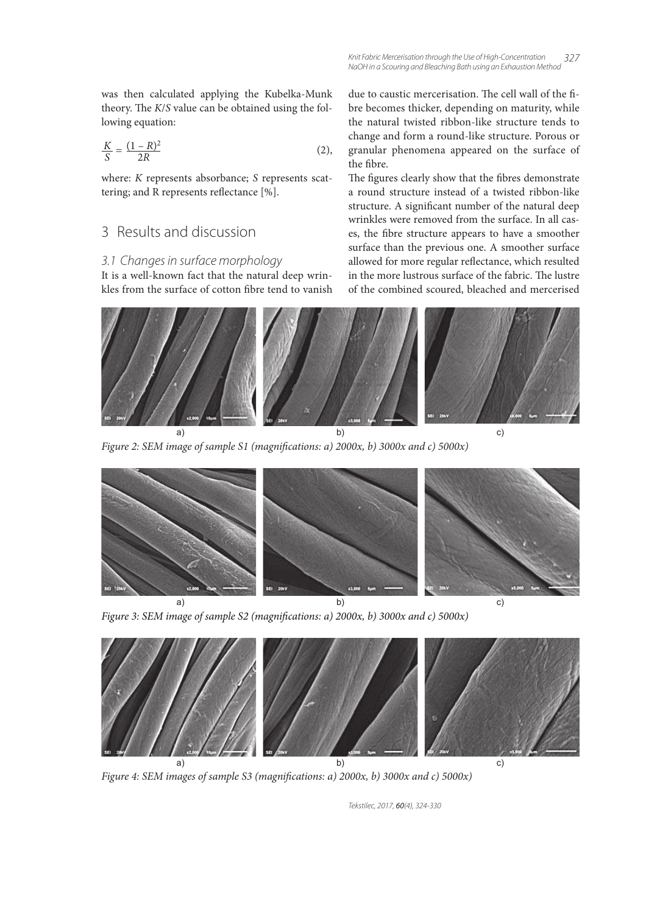was then calculated applying the Kubelka-Munk theory. The  $K/S$  value can be obtained using the following equation:

$$
\frac{K}{S} = \frac{(1 - R)^2}{2R}
$$
 (2),

where: *K* represents absorbance; *S* represents scattering; and R represents reflectance  $[%].$ 

# 3 Results and discussion

### *3.1 Changes in surface morphology*

It is a well-known fact that the natural deep wrinkles from the surface of cotton fibre tend to vanish due to caustic mercerisation. The cell wall of the fibre becomes thicker, depending on maturity, while the natural twisted ribbon-like structure tends to change and form a round-like structure. Porous or granular phenomena appeared on the surface of the fibre.

The figures clearly show that the fibres demonstrate a round structure instead of a twisted ribbon-like structure. A significant number of the natural deep wrinkles were removed from the surface. In all cases, the fibre structure appears to have a smoother surface than the previous one. A smoother surface allowed for more regular reflectance, which resulted in the more lustrous surface of the fabric. The lustre of the combined scoured, bleached and mercerised



Figure 2: SEM image of sample S1 (magnifications: a) 2000x, b) 3000x and c) 5000x)







Figure 3: SEM image of sample S2 (magnifications: a) 2000x, b) 3000x and c) 5000x)



Figure 4: SEM images of sample S3 (magnifications: a)  $2000x$ , b)  $3000x$  and c)  $5000x$ )

*Tekstilec, 2017,* 60*(4), 324-330*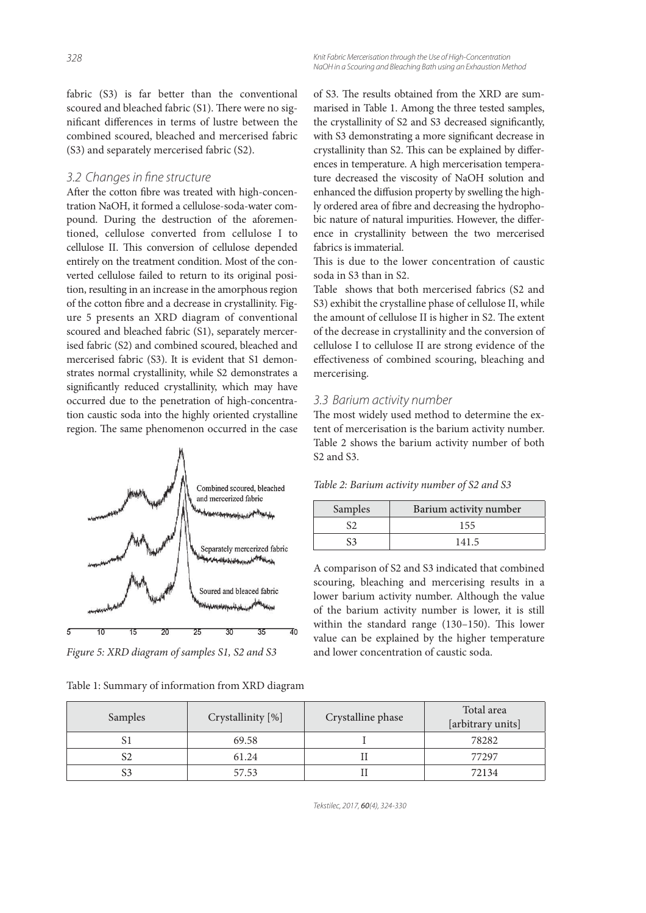fabric (S3) is far better than the conventional scoured and bleached fabric (S1). There were no significant differences in terms of lustre between the combined scoured, bleached and mercerised fabric (S3) and separately mercerised fabric (S2).

### 3.2 Changes in fine structure

After the cotton fibre was treated with high-concentration NaOH, it formed a cellulose-soda-water compound. During the destruction of the aforementioned, cellulose converted from cellulose I to cellulose II. This conversion of cellulose depended entirely on the treatment condition. Most of the converted cellulose failed to return to its original position, resulting in an increase in the amorphous region of the cotton fibre and a decrease in crystallinity. Figure 5 presents an XRD diagram of conventional scoured and bleached fabric (S1), separately mercerised fabric (S2) and combined scoured, bleached and mercerised fabric (S3). It is evident that S1 demonstrates normal crystallinity, while S2 demonstrates a significantly reduced crystallinity, which may have occurred due to the penetration of high-concentration caustic soda into the highly oriented crystalline region. The same phenomenon occurred in the case



Figure 5: XRD diagram of samples S1, S2 and S3

of S3. The results obtained from the XRD are summarised in Table 1. Among the three tested samples, the crystallinity of S2 and S3 decreased significantly, with S3 demonstrating a more significant decrease in crystallinity than S2. This can be explained by differences in temperature. A high mercerisation temperature decreased the viscosity of NaOH solution and enhanced the diffusion property by swelling the highly ordered area of fibre and decreasing the hydrophobic nature of natural impurities. However, the difference in crystallinity between the two mercerised fabrics is immaterial.

This is due to the lower concentration of caustic soda in S3 than in S2.

Table shows that both mercerised fabrics (S2 and S3) exhibit the crystalline phase of cellulose II, while the amount of cellulose II is higher in S2. The extent of the decrease in crystallinity and the conversion of cellulose I to cellulose II are strong evidence of the effectiveness of combined scouring, bleaching and mercerising.

### *3.3 Barium activity number*

The most widely used method to determine the extent of mercerisation is the barium activity number. Table 2 shows the barium activity number of both S2 and S3.

Table 2: Barium activity number of S2 and S3

| Samples | Barium activity number |
|---------|------------------------|
|         | 155                    |
|         | 1415                   |

A comparison of S2 and S3 indicated that combined scouring, bleaching and mercerising results in a lower barium activity number. Although the value of the barium activity number is lower, it is still within the standard range  $(130-150)$ . This lower value can be explained by the higher temperature and lower concentration of caustic soda.

| Samples | Crystallinity [%] | Crystalline phase | Total area<br>[arbitrary units] |
|---------|-------------------|-------------------|---------------------------------|
|         | 69.58             |                   | 78282                           |
|         | 61.24             |                   | 77297                           |
|         | 57.53             |                   | 72134                           |

*Tekstilec, 2017,* 60*(4), 324-330*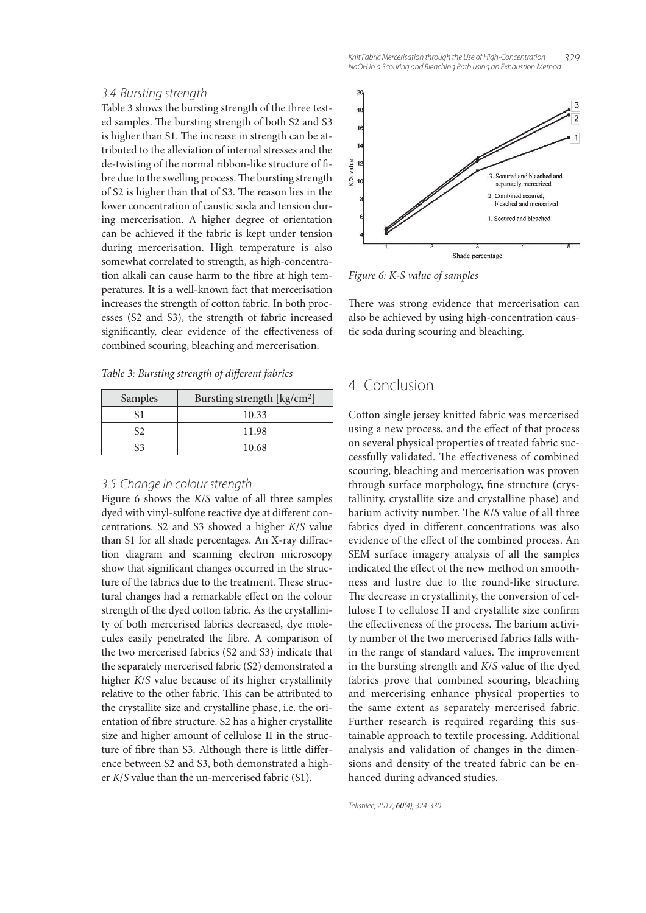#### *3.4 Bursting strength*

Table 3 shows the bursting strength of the three tested samples. The bursting strength of both S2 and S3 is higher than S1. The increase in strength can be attributed to the alleviation of internal stresses and the de-twisting of the normal ribbon-like structure of fibre due to the swelling process. The bursting strength of S2 is higher than that of S3. The reason lies in the lower concentration of caustic soda and tension during mercerisation. A higher degree of orientation can be achieved if the fabric is kept under tension during mercerisation. High temperature is also somewhat correlated to strength, as high-concentration alkali can cause harm to the fibre at high temperatures. It is a well-known fact that mercerisation increases the strength of cotton fabric. In both processes (S2 and S3), the strength of fabric increased significantly, clear evidence of the effectiveness of combined scouring, bleaching and mercerisation.

Table 3: Bursting strength of different fabrics

| <b>Samples</b> | Bursting strength [kg/cm <sup>2</sup> ] |
|----------------|-----------------------------------------|
| ς1             | 10.33                                   |
| $\varsigma$    | 11.98                                   |
| 53             | 10.68                                   |

### *3.5 Change in colour strength*

Figure 6 shows the K/S value of all three samples dyed with vinyl-sulfone reactive dye at different concentrations. S2 and S3 showed a higher K/S value than S1 for all shade percentages. An X-ray diffraction diagram and scanning electron microscopy show that significant changes occurred in the structure of the fabrics due to the treatment. These structural changes had a remarkable effect on the colour strength of the dyed cotton fabric. As the crystallinity of both mercerised fabrics decreased, dye molecules easily penetrated the fibre. A comparison of the two mercerised fabrics (S2 and S3) indicate that the separately mercerised fabric (S2) demonstrated a higher K/S value because of its higher crystallinity relative to the other fabric. This can be attributed to the crystallite size and crystalline phase, i.e. the orientation of fibre structure. S2 has a higher crystallite size and higher amount of cellulose II in the structure of fibre than S3. Although there is little difference between S2 and S3, both demonstrated a higher K/S value than the un-mercerised fabric (S1).



Figure 6: K-S value of samples

There was strong evidence that mercerisation can also be achieved by using high-concentration caustic soda during scouring and bleaching.

# 4 Conclusion

Cotton single jersey knitted fabric was mercerised using a new process, and the effect of that process on several physical properties of treated fabric successfully validated. The effectiveness of combined scouring, bleaching and mercerisation was proven through surface morphology, fine structure (crystallinity, crystallite size and crystalline phase) and barium activity number. The  $K/S$  value of all three fabrics dyed in different concentrations was also evidence of the effect of the combined process. An SEM surface imagery analysis of all the samples indicated the effect of the new method on smoothness and lustre due to the round-like structure. The decrease in crystallinity, the conversion of cellulose I to cellulose II and crystallite size confirm the effectiveness of the process. The barium activity number of the two mercerised fabrics falls within the range of standard values. The improvement in the bursting strength and K/S value of the dyed fabrics prove that combined scouring, bleaching and mercerising enhance physical properties to the same extent as separately mercerised fabric. Further research is required regarding this sustainable approach to textile processing. Additional analysis and validation of changes in the dimensions and density of the treated fabric can be enhanced during advanced studies.